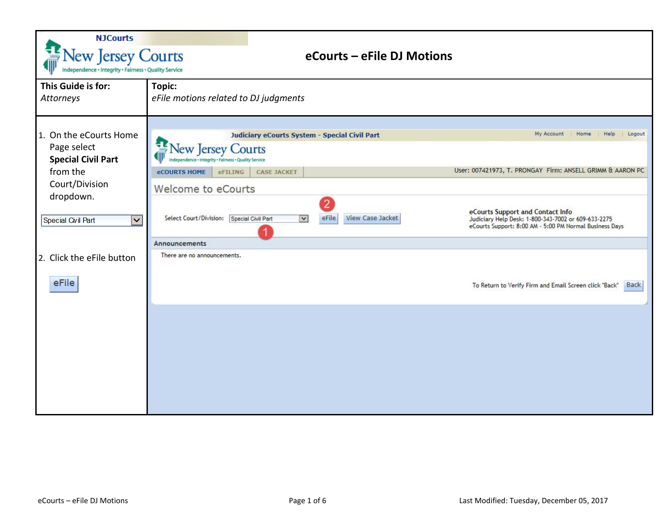| <b>NJCourts</b><br>New Jersey Courts<br>ndependence + Integrity + Fairness + Quality Service | eCourts - eFile DJ Motions                                                                                                                                                                                                                                              |
|----------------------------------------------------------------------------------------------|-------------------------------------------------------------------------------------------------------------------------------------------------------------------------------------------------------------------------------------------------------------------------|
| This Guide is for:<br>Attorneys                                                              | Topic:<br>eFile motions related to DJ judgments                                                                                                                                                                                                                         |
| 1. On the eCourts Home<br>Page select<br><b>Special Civil Part</b>                           | My Account<br>Home<br>Help<br>Logout<br>Judiciary eCourts System - Special Civil Part<br><b>Jew Jersey Courts</b><br>pendence + Integrity + Fairness + Quality Service                                                                                                  |
| from the<br>Court/Division<br>dropdown.                                                      | User: 007421973, T. PRONGAY Firm: ANSELL GRIMM & AARON PC<br><b>CASE JACKET</b><br><b>eCOURTS HOME</b><br>eFILING<br>Welcome to eCourts                                                                                                                                 |
| Special Civil Part<br>$\overline{\mathsf{v}}$                                                | eCourts Support and Contact Info<br>Select Court/Division: Special Civil Part<br><b>View Case Jacket</b><br>$\vert$ $\vert$<br>eFile<br>Judiciary Help Desk: 1-800-343-7002 or 609-633-2275<br>eCourts Support: 8:00 AM - 5:00 PM Normal Business Days<br>Announcements |
| 2. Click the eFile button                                                                    | There are no announcements.                                                                                                                                                                                                                                             |
| eFile                                                                                        | To Return to Verify Firm and Email Screen click "Back"<br>Back                                                                                                                                                                                                          |
|                                                                                              |                                                                                                                                                                                                                                                                         |
|                                                                                              |                                                                                                                                                                                                                                                                         |
|                                                                                              |                                                                                                                                                                                                                                                                         |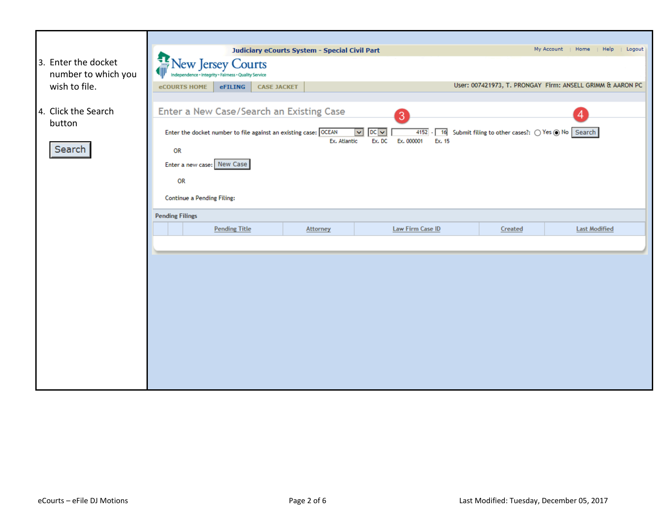|                                                             |                                                                                                                                                                                            | Judiciary eCourts System - Special Civil Part |                                                                            |                                                     | My Account<br>Home<br>Help<br>Logout                      |
|-------------------------------------------------------------|--------------------------------------------------------------------------------------------------------------------------------------------------------------------------------------------|-----------------------------------------------|----------------------------------------------------------------------------|-----------------------------------------------------|-----------------------------------------------------------|
| 3. Enter the docket<br>number to which you<br>wish to file. | New Jersey Courts<br>Independence · Integrity · Fairness · Quality Service<br><b>CASE JACKET</b><br><b>eCOURTS HOME</b><br>eFILING                                                         |                                               |                                                                            |                                                     | User: 007421973, T. PRONGAY Firm: ANSELL GRIMM & AARON PC |
| 4. Click the Search<br>button<br>Search                     | Enter a New Case/Search an Existing Case<br>Enter the docket number to file against an existing case: OCEAN<br><b>OR</b><br>Enter a new case: New Case<br>OR<br>Continue a Pending Filing: | Ex. Atlantic                                  | 3<br>4152<br>$DC$ $\vee$<br>$\checkmark$<br>Ex. 15<br>Ex. DC<br>Ex. 000001 | 16 Submit filing to other cases?: 0 Yes @ No Search | 4                                                         |
|                                                             | <b>Pending Filings</b>                                                                                                                                                                     |                                               |                                                                            |                                                     |                                                           |
|                                                             | <b>Pending Title</b>                                                                                                                                                                       | Attorney                                      | Law Firm Case ID                                                           | Created                                             | <b>Last Modified</b>                                      |
|                                                             |                                                                                                                                                                                            |                                               |                                                                            |                                                     |                                                           |
|                                                             |                                                                                                                                                                                            |                                               |                                                                            |                                                     |                                                           |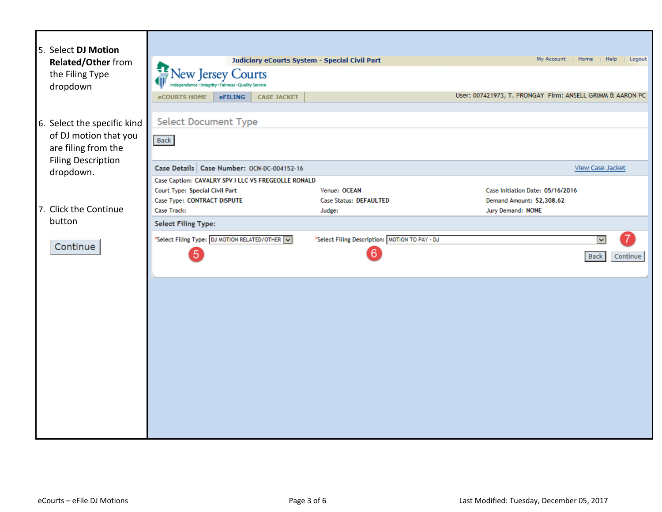| 5. Select DJ Motion<br><b>Related/Other from</b><br>the Filing Type<br>dropdown                                       | Judiciary eCourts System - Special Civil Part<br>瓠<br><b>Vew Jersey Courts</b><br>ity . Fairness . Quality Service<br>eFILING<br><b>CASE JACKET</b><br><b>eCOURTS HOME</b> |                                                         | My Account<br>User: 007421973, T. PRONGAY Firm: ANSELL GRIMM & AARON PC            | Home<br>Help<br>Logout                  |
|-----------------------------------------------------------------------------------------------------------------------|----------------------------------------------------------------------------------------------------------------------------------------------------------------------------|---------------------------------------------------------|------------------------------------------------------------------------------------|-----------------------------------------|
| 6. Select the specific kind<br>of DJ motion that you<br>are filing from the<br><b>Filing Description</b><br>dropdown. | <b>Select Document Type</b><br><b>Back</b><br>Case Details   Case Number: OCN-DC-004152-16                                                                                 |                                                         |                                                                                    | <b>View Case Jacket</b>                 |
| 7. Click the Continue<br>button                                                                                       | Case Caption: CAVALRY SPV I LLC VS FREGEOLLE RONALD<br>Court Type: Special Civil Part<br>Case Type: CONTRACT DISPUTE<br>Case Track:                                        | Venue: OCEAN<br><b>Case Status: DEFAULTED</b><br>Judge: | Case Initiation Date: 05/16/2016<br>Demand Amount: \$2,308.62<br>Jury Demand: NONE |                                         |
| Continue                                                                                                              | <b>Select Filing Type:</b><br>*Select Filing Type: DJ MOTION RELATED/OTHER V<br>$\boxed{5}$                                                                                | *Select Filing Description: MOTION TO PAY - DJ<br>6     |                                                                                    | $\checkmark$<br>Continue<br><b>Back</b> |
|                                                                                                                       |                                                                                                                                                                            |                                                         |                                                                                    |                                         |
|                                                                                                                       |                                                                                                                                                                            |                                                         |                                                                                    |                                         |
|                                                                                                                       |                                                                                                                                                                            |                                                         |                                                                                    |                                         |
|                                                                                                                       |                                                                                                                                                                            |                                                         |                                                                                    |                                         |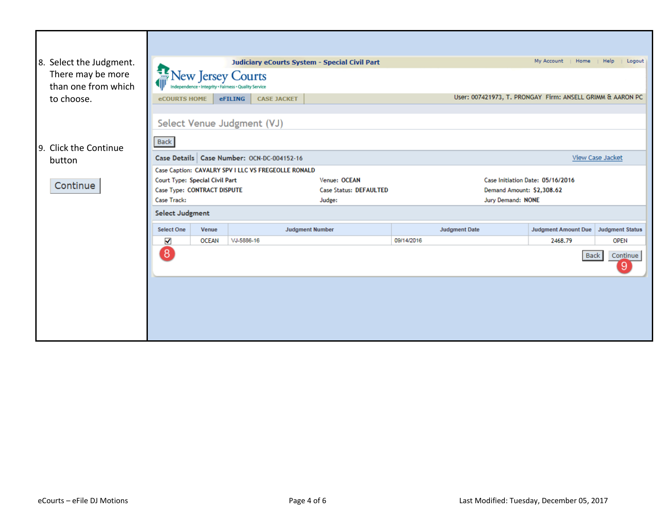| 8. Select the Judgment.                  |                                                   |                                              |                                                                           | Judiciary eCourts System - Special Civil Part |                                                           | My Account<br>Home               | Help<br>Logout          |
|------------------------------------------|---------------------------------------------------|----------------------------------------------|---------------------------------------------------------------------------|-----------------------------------------------|-----------------------------------------------------------|----------------------------------|-------------------------|
| There may be more<br>than one from which | 靊                                                 |                                              | New Jersey Courts<br>ndependence + Integrity + Fairness + Quality Service |                                               |                                                           |                                  |                         |
| to choose.                               | <b>eCOURTS HOME</b>                               |                                              | <b>CASE JACKET</b><br><b>eFILING</b>                                      |                                               | User: 007421973, T. PRONGAY Firm: ANSELL GRIMM & AARON PC |                                  |                         |
|                                          |                                                   |                                              | Select Venue Judgment (VJ)                                                |                                               |                                                           |                                  |                         |
| 9. Click the Continue                    | <b>Back</b>                                       |                                              |                                                                           |                                               |                                                           |                                  |                         |
| button                                   |                                                   | Case Details   Case Number: OCN-DC-004152-16 |                                                                           |                                               |                                                           |                                  | <b>View Case Jacket</b> |
|                                          |                                                   |                                              | Case Caption: CAVALRY SPV I LLC VS FREGEOLLE RONALD                       |                                               |                                                           |                                  |                         |
| Continue                                 | Court Type: Special Civil Part                    |                                              |                                                                           | Venue: OCEAN                                  |                                                           | Case Initiation Date: 05/16/2016 |                         |
|                                          | Case Type: CONTRACT DISPUTE                       |                                              |                                                                           | <b>Case Status: DEFAULTED</b>                 | Demand Amount: \$2,308.62                                 |                                  |                         |
|                                          | <b>Case Track:</b><br>Jury Demand: NONE<br>Judge: |                                              |                                                                           |                                               |                                                           |                                  |                         |
|                                          | <b>Select Judgment</b>                            |                                              |                                                                           |                                               |                                                           |                                  |                         |
|                                          | <b>Select One</b>                                 | Venue                                        |                                                                           | <b>Judgment Number</b>                        | <b>Judgment Date</b>                                      | <b>Judgment Amount Due</b>       | <b>Judgment Status</b>  |
|                                          | ✔                                                 | <b>OCEAN</b>                                 | VJ-5886-16                                                                |                                               | 09/14/2016                                                | 2468.79                          | <b>OPEN</b>             |
|                                          | 8                                                 |                                              |                                                                           |                                               |                                                           | <b>Back</b>                      | Continue<br>9           |
|                                          |                                                   |                                              |                                                                           |                                               |                                                           |                                  |                         |
|                                          |                                                   |                                              |                                                                           |                                               |                                                           |                                  |                         |
|                                          |                                                   |                                              |                                                                           |                                               |                                                           |                                  |                         |
|                                          |                                                   |                                              |                                                                           |                                               |                                                           |                                  |                         |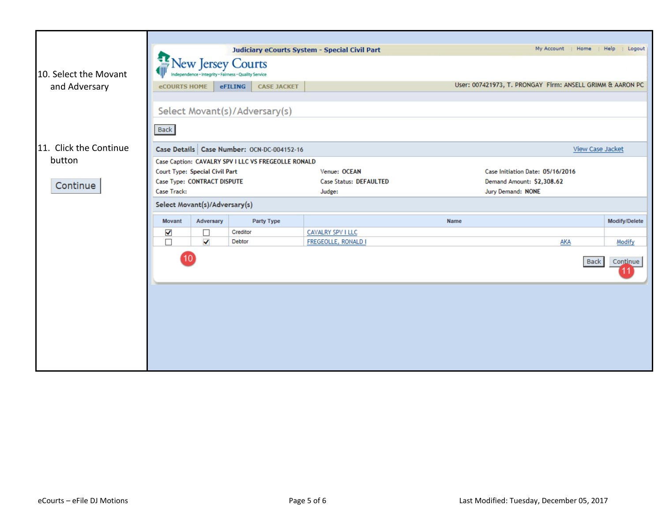|                        | Judiciary eCourts System - Special Civil Part |                                |                                                      |                               | My Account<br>Home<br>Help<br>Logout |                                                           |
|------------------------|-----------------------------------------------|--------------------------------|------------------------------------------------------|-------------------------------|--------------------------------------|-----------------------------------------------------------|
|                        |                                               |                                | <b>New Jersey Courts</b>                             |                               |                                      |                                                           |
| 10. Select the Movant  |                                               |                                | ndependence · Integrity · Fairness · Quality Service |                               |                                      |                                                           |
| and Adversary          | <b>eCOURTS HOME</b>                           |                                | <b>CASE JACKET</b><br>eFILING                        |                               |                                      | User: 007421973, T. PRONGAY Firm: ANSELL GRIMM & AARON PC |
|                        |                                               |                                |                                                      |                               |                                      |                                                           |
|                        |                                               |                                | Select Movant(s)/Adversary(s)                        |                               |                                      |                                                           |
|                        | Back                                          |                                |                                                      |                               |                                      |                                                           |
| 11. Click the Continue |                                               |                                | Case Details   Case Number: OCN-DC-004152-16         |                               |                                      | <b>View Case Jacket</b>                                   |
| button                 |                                               |                                | Case Caption: CAVALRY SPV I LLC VS FREGEOLLE RONALD  |                               |                                      |                                                           |
|                        |                                               | Court Type: Special Civil Part |                                                      | Venue: OCEAN                  | Case Initiation Date: 05/16/2016     |                                                           |
| Continue               |                                               | Case Type: CONTRACT DISPUTE    |                                                      | <b>Case Status: DEFAULTED</b> | Demand Amount: \$2,308.62            |                                                           |
|                        | Case Track:                                   |                                |                                                      | Judge:                        | Jury Demand: NONE                    |                                                           |
|                        |                                               | Select Movant(s)/Adversary(s)  |                                                      |                               |                                      |                                                           |
|                        | <b>Movant</b>                                 | Adversary                      | Party Type                                           |                               | Name                                 | Modify/Delete                                             |
|                        | ✔                                             | □                              | Creditor                                             | <b>CAVALRY SPV I LLC</b>      |                                      |                                                           |
|                        | $\Box$                                        | ✔                              | Debtor                                               | FREGEOLLE, RONALD I           |                                      | <b>AKA</b><br>Modify                                      |
|                        | 10                                            |                                |                                                      | <b>Back</b><br>Continue       |                                      |                                                           |
|                        |                                               |                                |                                                      |                               |                                      |                                                           |
|                        |                                               |                                |                                                      |                               |                                      |                                                           |
|                        |                                               |                                |                                                      |                               |                                      |                                                           |
|                        |                                               |                                |                                                      |                               |                                      |                                                           |
|                        |                                               |                                |                                                      |                               |                                      |                                                           |
|                        |                                               |                                |                                                      |                               |                                      |                                                           |
|                        |                                               |                                |                                                      |                               |                                      |                                                           |